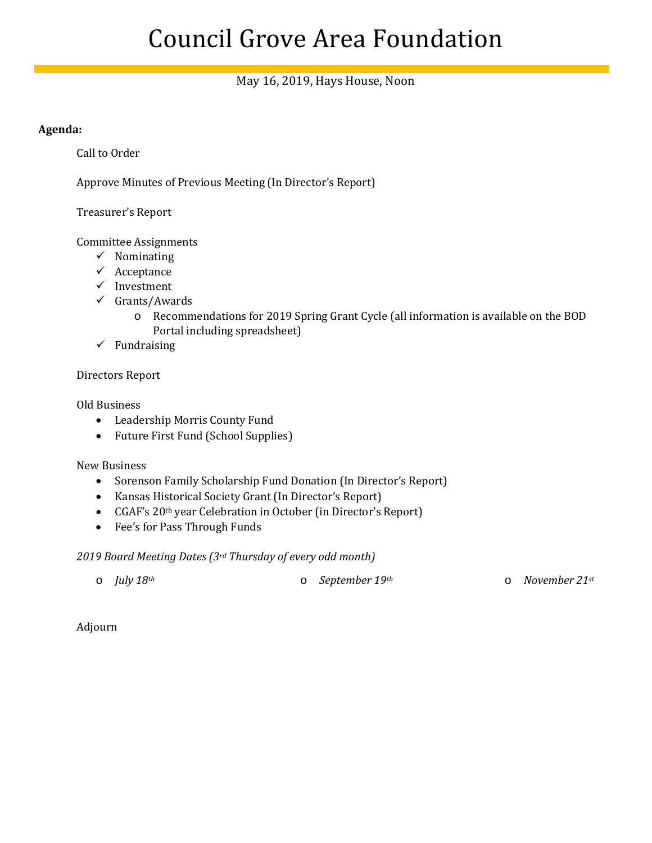# Council Grove Area Foundation

## May 16, 2019, Hays House, Noon

#### **Agenda:**

Call to Order

Approve Minutes of Previous Meeting (In Director's Report)

Treasurer's Report

Committee Assignments

- $\checkmark$  Nominating
- $\checkmark$  Acceptance
- $\checkmark$  Investment
- $\checkmark$  Grants/Awards
	- o Recommendations for 2019 Spring Grant Cycle (all information is available on the BOD Portal including spreadsheet)
- $\checkmark$  Fundraising

#### Directors Report

Old Business

- Leadership Morris County Fund
- Future First Fund (School Supplies)

New Business

- Sorenson Family Scholarship Fund Donation (In Director's Report)
- Kansas Historical Society Grant (In Director's Report)
- CGAF's 20<sup>th</sup> year Celebration in October (in Director's Report)
- Fee's for Pass Through Funds

#### *2019 Board Meeting Dates (3rd Thursday of every odd month)*

|  | $\circ$ <i>July 18th</i> |  | $\circ$ September 19th |  | $\circ$ November 21st |
|--|--------------------------|--|------------------------|--|-----------------------|
|--|--------------------------|--|------------------------|--|-----------------------|

Adjourn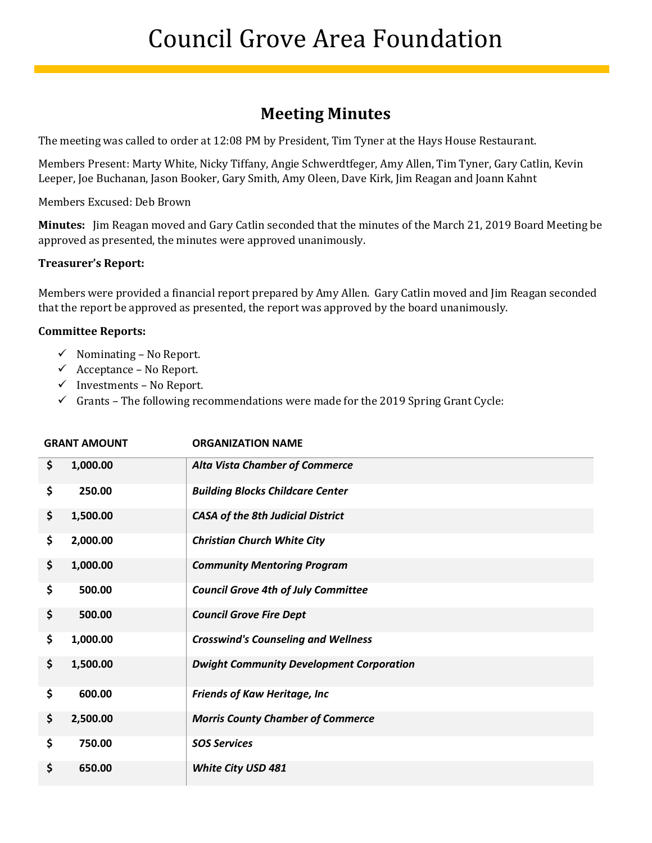# **Meeting Minutes**

Ĩ

The meeting was called to order at 12:08 PM by President, Tim Tyner at the Hays House Restaurant.

Members Present: Marty White, Nicky Tiffany, Angie Schwerdtfeger, Amy Allen, Tim Tyner, Gary Catlin, Kevin Leeper, Joe Buchanan, Jason Booker, Gary Smith, Amy Oleen, Dave Kirk, Jim Reagan and Joann Kahnt

Members Excused: Deb Brown

**Minutes:** Jim Reagan moved and Gary Catlin seconded that the minutes of the March 21, 2019 Board Meeting be approved as presented, the minutes were approved unanimously.

#### **Treasurer's Report:**

Members were provided a financial report prepared by Amy Allen. Gary Catlin moved and Jim Reagan seconded that the report be approved as presented, the report was approved by the board unanimously.

#### **Committee Reports:**

- $\checkmark$  Nominating No Report.
- $\checkmark$  Acceptance No Report.
- $\checkmark$  Investments No Report.
- $\checkmark$  Grants The following recommendations were made for the 2019 Spring Grant Cycle:

| <b>GRANT AMOUNT</b> |          | <b>ORGANIZATION NAME</b>                        |
|---------------------|----------|-------------------------------------------------|
| \$                  | 1,000.00 | <b>Alta Vista Chamber of Commerce</b>           |
| \$                  | 250.00   | <b>Building Blocks Childcare Center</b>         |
| \$                  | 1,500.00 | <b>CASA of the 8th Judicial District</b>        |
| \$                  | 2,000.00 | <b>Christian Church White City</b>              |
| \$                  | 1,000.00 | <b>Community Mentoring Program</b>              |
| \$                  | 500.00   | <b>Council Grove 4th of July Committee</b>      |
| \$                  | 500.00   | <b>Council Grove Fire Dept</b>                  |
| \$                  | 1,000.00 | <b>Crosswind's Counseling and Wellness</b>      |
| \$                  | 1,500.00 | <b>Dwight Community Development Corporation</b> |
| \$                  | 600.00   | <b>Friends of Kaw Heritage, Inc.</b>            |
| \$                  | 2,500.00 | <b>Morris County Chamber of Commerce</b>        |
| \$                  | 750.00   | <b>SOS Services</b>                             |
| \$                  | 650.00   | White City USD 481                              |